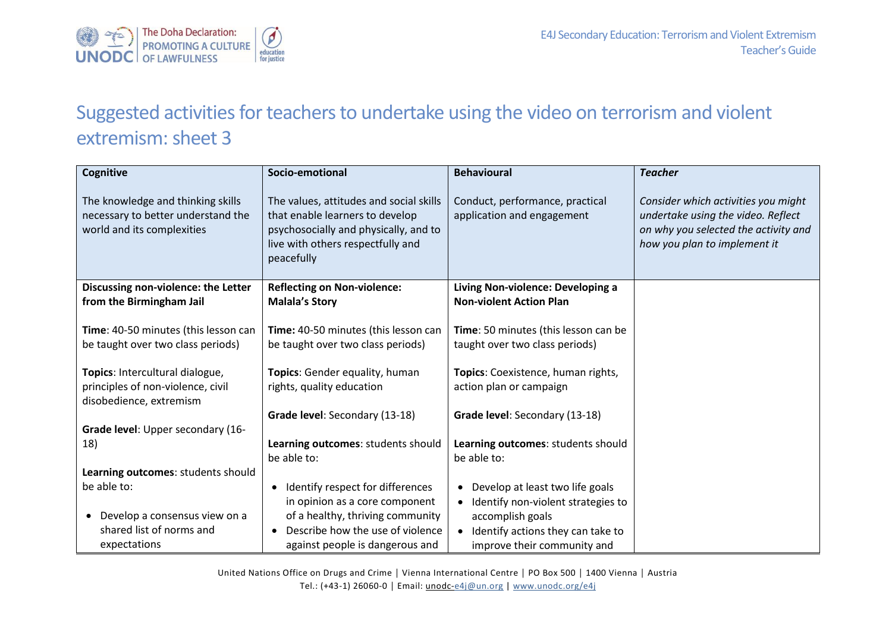

## Suggested activities for teachers to undertake using the video on terrorism and violent extremism: sheet 3

| Cognitive                                                                                             | Socio-emotional                                                                                                                                                               | <b>Behavioural</b>                                                                                                                                                                           | <b>Teacher</b>                                                                                                                                    |
|-------------------------------------------------------------------------------------------------------|-------------------------------------------------------------------------------------------------------------------------------------------------------------------------------|----------------------------------------------------------------------------------------------------------------------------------------------------------------------------------------------|---------------------------------------------------------------------------------------------------------------------------------------------------|
| The knowledge and thinking skills<br>necessary to better understand the<br>world and its complexities | The values, attitudes and social skills<br>that enable learners to develop<br>psychosocially and physically, and to<br>live with others respectfully and<br>peacefully        | Conduct, performance, practical<br>application and engagement                                                                                                                                | Consider which activities you might<br>undertake using the video. Reflect<br>on why you selected the activity and<br>how you plan to implement it |
| Discussing non-violence: the Letter<br>from the Birmingham Jail                                       | <b>Reflecting on Non-violence:</b><br><b>Malala's Story</b>                                                                                                                   | Living Non-violence: Developing a<br><b>Non-violent Action Plan</b>                                                                                                                          |                                                                                                                                                   |
| Time: 40-50 minutes (this lesson can<br>be taught over two class periods)                             | Time: 40-50 minutes (this lesson can<br>be taught over two class periods)                                                                                                     | Time: 50 minutes (this lesson can be<br>taught over two class periods)                                                                                                                       |                                                                                                                                                   |
| Topics: Intercultural dialogue,<br>principles of non-violence, civil<br>disobedience, extremism       | Topics: Gender equality, human<br>rights, quality education                                                                                                                   | Topics: Coexistence, human rights,<br>action plan or campaign                                                                                                                                |                                                                                                                                                   |
|                                                                                                       | Grade level: Secondary (13-18)                                                                                                                                                | Grade level: Secondary (13-18)                                                                                                                                                               |                                                                                                                                                   |
| Grade level: Upper secondary (16-<br>18)                                                              | Learning outcomes: students should<br>be able to:                                                                                                                             | Learning outcomes: students should<br>be able to:                                                                                                                                            |                                                                                                                                                   |
| Learning outcomes: students should                                                                    |                                                                                                                                                                               |                                                                                                                                                                                              |                                                                                                                                                   |
| be able to:<br>Develop a consensus view on a<br>$\bullet$<br>shared list of norms and<br>expectations | Identify respect for differences<br>in opinion as a core component<br>of a healthy, thriving community<br>Describe how the use of violence<br>against people is dangerous and | Develop at least two life goals<br>٠<br>Identify non-violent strategies to<br>$\bullet$<br>accomplish goals<br>Identify actions they can take to<br>$\bullet$<br>improve their community and |                                                                                                                                                   |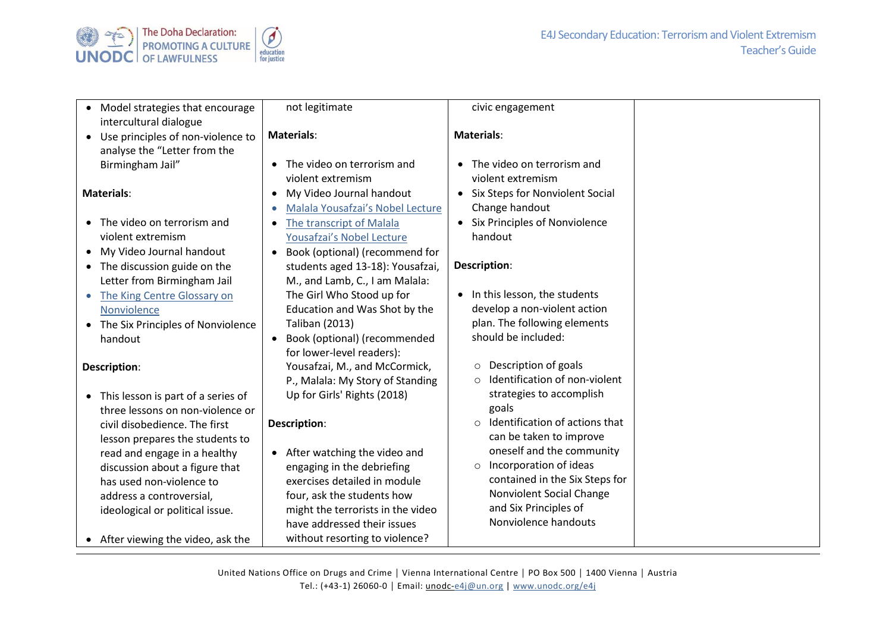

| Model strategies that encourage<br>intercultural dialogue                                                                                                                                                                                                                                                                                                       | not legitimate                                                                                                                                                                                                                                                                                                                                       | civic engagement                                                                                                                                                                                                                                                                                                                                  |  |
|-----------------------------------------------------------------------------------------------------------------------------------------------------------------------------------------------------------------------------------------------------------------------------------------------------------------------------------------------------------------|------------------------------------------------------------------------------------------------------------------------------------------------------------------------------------------------------------------------------------------------------------------------------------------------------------------------------------------------------|---------------------------------------------------------------------------------------------------------------------------------------------------------------------------------------------------------------------------------------------------------------------------------------------------------------------------------------------------|--|
| Use principles of non-violence to<br>$\bullet$<br>analyse the "Letter from the                                                                                                                                                                                                                                                                                  | <b>Materials:</b>                                                                                                                                                                                                                                                                                                                                    | <b>Materials:</b>                                                                                                                                                                                                                                                                                                                                 |  |
| Birmingham Jail"                                                                                                                                                                                                                                                                                                                                                | The video on terrorism and<br>violent extremism                                                                                                                                                                                                                                                                                                      | The video on terrorism and<br>violent extremism                                                                                                                                                                                                                                                                                                   |  |
| <b>Materials:</b>                                                                                                                                                                                                                                                                                                                                               | My Video Journal handout<br>$\bullet$<br>Malala Yousafzai's Nobel Lecture                                                                                                                                                                                                                                                                            | Six Steps for Nonviolent Social<br>$\bullet$<br>Change handout                                                                                                                                                                                                                                                                                    |  |
| The video on terrorism and<br>$\bullet$<br>violent extremism                                                                                                                                                                                                                                                                                                    | The transcript of Malala<br>Yousafzai's Nobel Lecture                                                                                                                                                                                                                                                                                                | • Six Principles of Nonviolence<br>handout                                                                                                                                                                                                                                                                                                        |  |
| My Video Journal handout<br>The discussion guide on the<br>$\bullet$<br>Letter from Birmingham Jail                                                                                                                                                                                                                                                             | Book (optional) (recommend for<br>students aged 13-18): Yousafzai,<br>M., and Lamb, C., I am Malala:                                                                                                                                                                                                                                                 | Description:                                                                                                                                                                                                                                                                                                                                      |  |
| The King Centre Glossary on<br>$\bullet$<br>Nonviolence<br>• The Six Principles of Nonviolence                                                                                                                                                                                                                                                                  | The Girl Who Stood up for<br>Education and Was Shot by the<br>Taliban (2013)                                                                                                                                                                                                                                                                         | • In this lesson, the students<br>develop a non-violent action<br>plan. The following elements                                                                                                                                                                                                                                                    |  |
| handout                                                                                                                                                                                                                                                                                                                                                         | Book (optional) (recommended<br>for lower-level readers):                                                                                                                                                                                                                                                                                            | should be included:<br>Description of goals                                                                                                                                                                                                                                                                                                       |  |
| Description:<br>• This lesson is part of a series of<br>three lessons on non-violence or<br>civil disobedience. The first<br>lesson prepares the students to<br>read and engage in a healthy<br>discussion about a figure that<br>has used non-violence to<br>address a controversial,<br>ideological or political issue.<br>• After viewing the video, ask the | Yousafzai, M., and McCormick,<br>P., Malala: My Story of Standing<br>Up for Girls' Rights (2018)<br>Description:<br>• After watching the video and<br>engaging in the debriefing<br>exercises detailed in module<br>four, ask the students how<br>might the terrorists in the video<br>have addressed their issues<br>without resorting to violence? | $\circ$<br>Identification of non-violent<br>$\circ$<br>strategies to accomplish<br>goals<br>Identification of actions that<br>$\circ$<br>can be taken to improve<br>oneself and the community<br>Incorporation of ideas<br>$\circ$<br>contained in the Six Steps for<br>Nonviolent Social Change<br>and Six Principles of<br>Nonviolence handouts |  |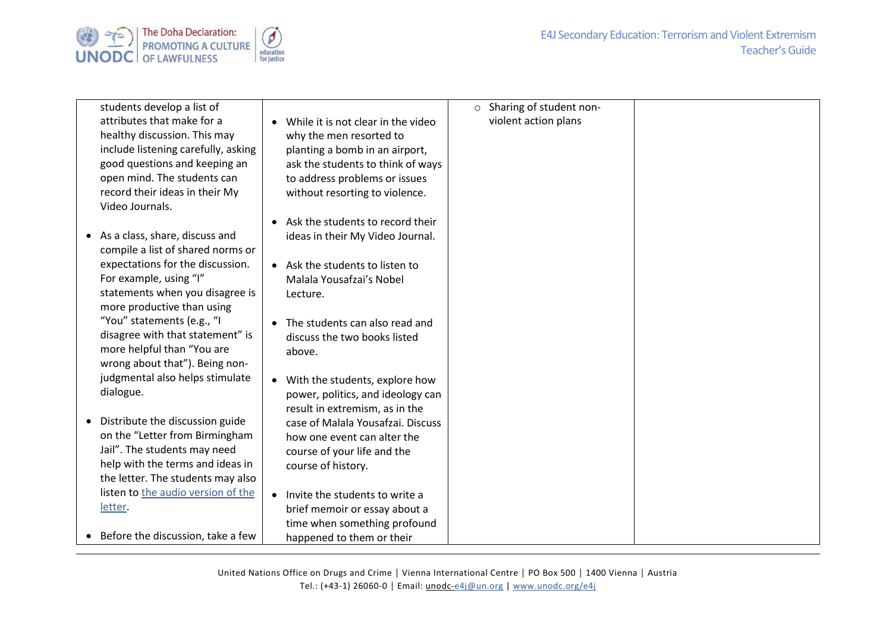

| students develop a list of          |                                                 | $\circ$ Sharing of student non- |  |
|-------------------------------------|-------------------------------------------------|---------------------------------|--|
| attributes that make for a          | While it is not clear in the video<br>$\bullet$ | violent action plans            |  |
| healthy discussion. This may        | why the men resorted to                         |                                 |  |
| include listening carefully, asking | planting a bomb in an airport,                  |                                 |  |
| good questions and keeping an       | ask the students to think of ways               |                                 |  |
| open mind. The students can         | to address problems or issues                   |                                 |  |
| record their ideas in their My      | without resorting to violence.                  |                                 |  |
| Video Journals.                     |                                                 |                                 |  |
|                                     | Ask the students to record their<br>$\bullet$   |                                 |  |
| • As a class, share, discuss and    | ideas in their My Video Journal.                |                                 |  |
| compile a list of shared norms or   |                                                 |                                 |  |
| expectations for the discussion.    | Ask the students to listen to<br>$\bullet$      |                                 |  |
| For example, using "I"              | Malala Yousafzai's Nobel                        |                                 |  |
| statements when you disagree is     | Lecture.                                        |                                 |  |
| more productive than using          |                                                 |                                 |  |
| "You" statements (e.g., "I          | The students can also read and<br>$\bullet$     |                                 |  |
| disagree with that statement" is    | discuss the two books listed                    |                                 |  |
| more helpful than "You are          | above.                                          |                                 |  |
| wrong about that"). Being non-      |                                                 |                                 |  |
| judgmental also helps stimulate     | With the students, explore how<br>$\bullet$     |                                 |  |
| dialogue.                           | power, politics, and ideology can               |                                 |  |
|                                     | result in extremism, as in the                  |                                 |  |
| • Distribute the discussion guide   | case of Malala Yousafzai. Discuss               |                                 |  |
| on the "Letter from Birmingham      | how one event can alter the                     |                                 |  |
| Jail". The students may need        | course of your life and the                     |                                 |  |
| help with the terms and ideas in    | course of history.                              |                                 |  |
| the letter. The students may also   |                                                 |                                 |  |
| listen to the audio version of the  | Invite the students to write a<br>$\bullet$     |                                 |  |
| letter.                             | brief memoir or essay about a                   |                                 |  |
|                                     | time when something profound                    |                                 |  |
| • Before the discussion, take a few | happened to them or their                       |                                 |  |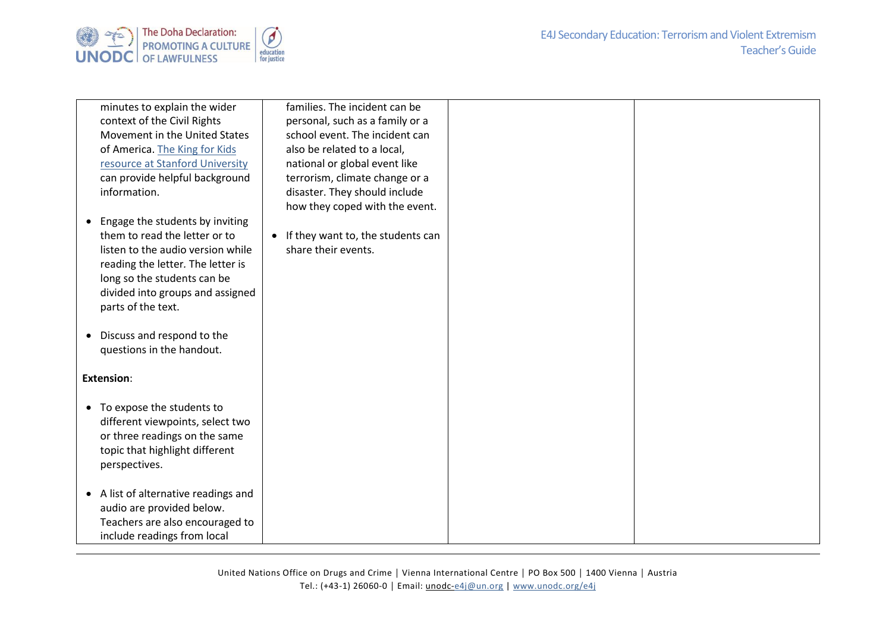

| minutes to explain the wider            | families. The incident can be                  |  |
|-----------------------------------------|------------------------------------------------|--|
| context of the Civil Rights             | personal, such as a family or a                |  |
| Movement in the United States           | school event. The incident can                 |  |
| of America. The King for Kids           | also be related to a local,                    |  |
| resource at Stanford University         | national or global event like                  |  |
| can provide helpful background          | terrorism, climate change or a                 |  |
| information.                            | disaster. They should include                  |  |
|                                         | how they coped with the event.                 |  |
| Engage the students by inviting         |                                                |  |
| them to read the letter or to           | If they want to, the students can<br>$\bullet$ |  |
| listen to the audio version while       | share their events.                            |  |
| reading the letter. The letter is       |                                                |  |
| long so the students can be             |                                                |  |
| divided into groups and assigned        |                                                |  |
| parts of the text.                      |                                                |  |
|                                         |                                                |  |
| Discuss and respond to the<br>$\bullet$ |                                                |  |
| questions in the handout.               |                                                |  |
|                                         |                                                |  |
| <b>Extension:</b>                       |                                                |  |
|                                         |                                                |  |
| • To expose the students to             |                                                |  |
| different viewpoints, select two        |                                                |  |
| or three readings on the same           |                                                |  |
| topic that highlight different          |                                                |  |
| perspectives.                           |                                                |  |
|                                         |                                                |  |
| • A list of alternative readings and    |                                                |  |
| audio are provided below.               |                                                |  |
| Teachers are also encouraged to         |                                                |  |
| include readings from local             |                                                |  |